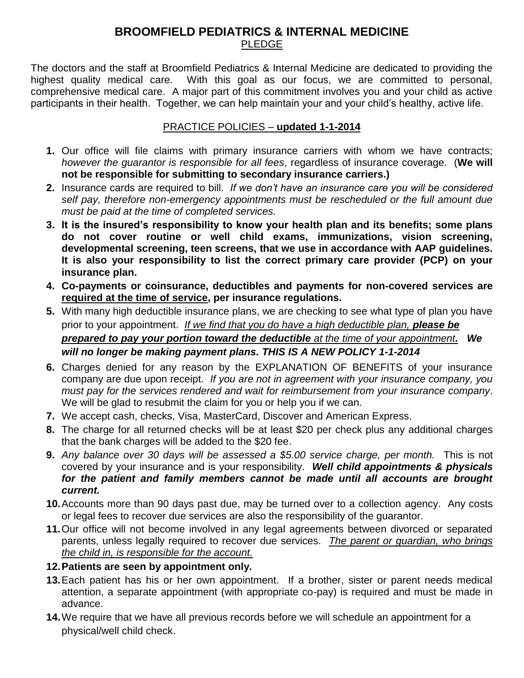## **BROOMFIELD PEDIATRICS & INTERNAL MEDICINE** PLEDGE

The doctors and the staff at Broomfield Pediatrics & Internal Medicine are dedicated to providing the highest quality medical care. With this goal as our focus, we are committed to personal, comprehensive medical care. A major part of this commitment involves you and your child as active participants in their health. Together, we can help maintain your and your child's healthy, active life.

## PRACTICE POLICIES – **updated 1-1-2014**

- **1.** Our office will file claims with primary insurance carriers with whom we have contracts; *however the guarantor is responsible for all fees*, regardless of insurance coverage. (**We will not be responsible for submitting to secondary insurance carriers.)**
- **2.** Insurance cards are required to bill. *If we don't have an insurance care you will be considered self pay, therefore non-emergency appointments must be rescheduled or the full amount due must be paid at the time of completed services.*
- **3. It is the insured's responsibility to know your health plan and its benefits; some plans do not cover routine or well child exams, immunizations, vision screening, developmental screening, teen screens, that we use in accordance with AAP guidelines. It is also your responsibility to list the correct primary care provider (PCP) on your insurance plan.**
- **4. Co-payments or coinsurance, deductibles and payments for non-covered services are required at the time of service, per insurance regulations.**
- **5.** With many high deductible insurance plans, we are checking to see what type of plan you have prior to your appointment. *If we find that you do have a high deductible plan, please be prepared to pay your portion toward the deductible at the time of your appointment. We will no longer be making payment plans. THIS IS A NEW POLICY 1-1-2014*
- **6.** Charges denied for any reason by the EXPLANATION OF BENEFITS of your insurance company are due upon receipt. *If you are not in agreement with your insurance company, you must pay for the services rendered and wait for reimbursement from your insurance company*. We will be glad to resubmit the claim for you or help you if we can.
- **7.** We accept cash, checks, Visa, MasterCard, Discover and American Express.
- **8.** The charge for all returned checks will be at least \$20 per check plus any additional charges that the bank charges will be added to the \$20 fee.
- **9.** *Any balance over 30 days will be assessed a \$5.00 service charge, per month.* This is not covered by your insurance and is your responsibility. *Well child appointments & physicals for the patient and family members cannot be made until all accounts are brought current.*
- **10.**Accounts more than 90 days past due, may be turned over to a collection agency. Any costs or legal fees to recover due services are also the responsibility of the guarantor.
- **11.**Our office will not become involved in any legal agreements between divorced or separated parents, unless legally required to recover due services. *The parent or guardian, who brings the child in, is responsible for the account.*
- **12.Patients are seen by appointment only.**
- **13.**Each patient has his or her own appointment. If a brother, sister or parent needs medical attention, a separate appointment (with appropriate co-pay) is required and must be made in advance.
- **14.**We require that we have all previous records before we will schedule an appointment for a physical/well child check.